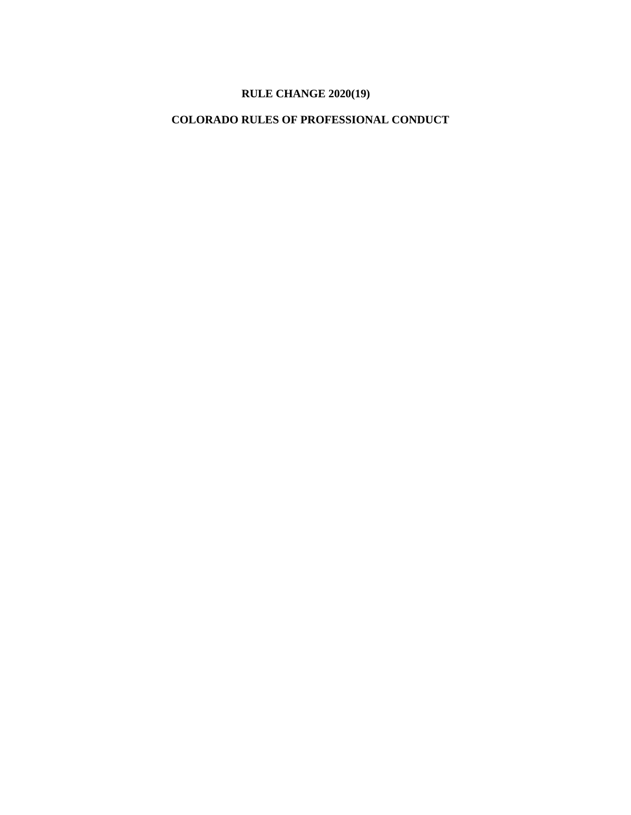## **RULE CHANGE 2020(19)**

# **COLORADO RULES OF PROFESSIONAL CONDUCT**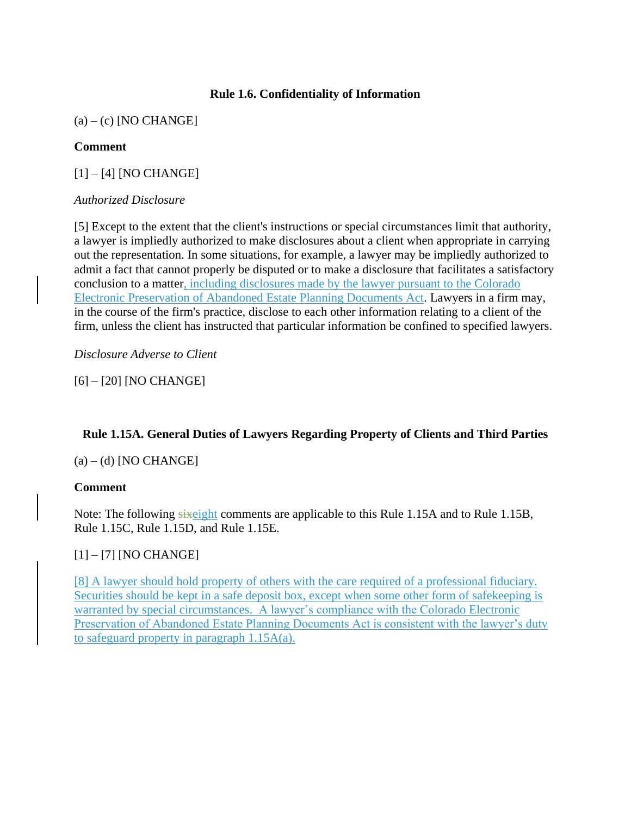## **Rule 1.6. Confidentiality of Information**

 $(a) - (c)$  [NO CHANGE]

#### **Comment**

[1] – [4] [NO CHANGE]

#### *Authorized Disclosure*

[5] Except to the extent that the client's instructions or special circumstances limit that authority, a lawyer is impliedly authorized to make disclosures about a client when appropriate in carrying out the representation. In some situations, for example, a lawyer may be impliedly authorized to admit a fact that cannot properly be disputed or to make a disclosure that facilitates a satisfactory conclusion to a matter, including disclosures made by the lawyer pursuant to the Colorado Electronic Preservation of Abandoned Estate Planning Documents Act. Lawyers in a firm may, in the course of the firm's practice, disclose to each other information relating to a client of the firm, unless the client has instructed that particular information be confined to specified lawyers.

*Disclosure Adverse to Client*

[6] – [20] [NO CHANGE]

## **Rule 1.15A. General Duties of Lawyers Regarding Property of Clients and Third Parties**

 $(a) - (d)$  [NO CHANGE]

#### **Comment**

Note: The following sixeight comments are applicable to this Rule 1.15A and to Rule 1.15B, Rule 1.15C, Rule 1.15D, and Rule 1.15E.

## [1] – [7] [NO CHANGE]

[8] A lawyer should hold property of others with the care required of a professional fiduciary. Securities should be kept in a safe deposit box, except when some other form of safekeeping is warranted by special circumstances. A lawyer's compliance with the Colorado Electronic Preservation of Abandoned Estate Planning Documents Act is consistent with the lawyer's duty to safeguard property in paragraph 1.15A(a).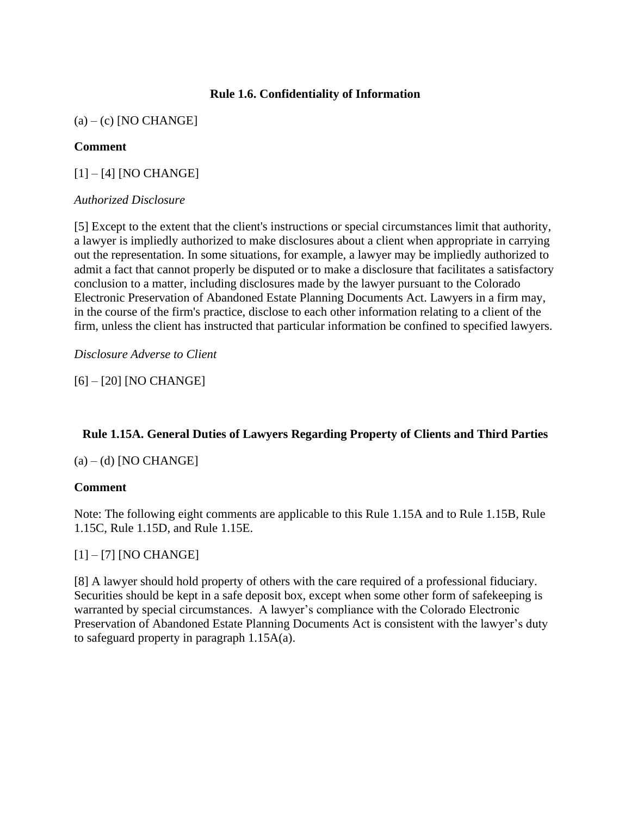## **Rule 1.6. Confidentiality of Information**

 $(a) - (c)$  [NO CHANGE]

## **Comment**

[1] – [4] [NO CHANGE]

## *Authorized Disclosure*

[5] Except to the extent that the client's instructions or special circumstances limit that authority, a lawyer is impliedly authorized to make disclosures about a client when appropriate in carrying out the representation. In some situations, for example, a lawyer may be impliedly authorized to admit a fact that cannot properly be disputed or to make a disclosure that facilitates a satisfactory conclusion to a matter, including disclosures made by the lawyer pursuant to the Colorado Electronic Preservation of Abandoned Estate Planning Documents Act. Lawyers in a firm may, in the course of the firm's practice, disclose to each other information relating to a client of the firm, unless the client has instructed that particular information be confined to specified lawyers.

*Disclosure Adverse to Client*

[6] – [20] [NO CHANGE]

## **Rule 1.15A. General Duties of Lawyers Regarding Property of Clients and Third Parties**

 $(a) - (d)$  [NO CHANGE]

## **Comment**

Note: The following eight comments are applicable to this Rule 1.15A and to Rule 1.15B, Rule 1.15C, Rule 1.15D, and Rule 1.15E.

## [1] – [7] [NO CHANGE]

[8] A lawyer should hold property of others with the care required of a professional fiduciary. Securities should be kept in a safe deposit box, except when some other form of safekeeping is warranted by special circumstances. A lawyer's compliance with the Colorado Electronic Preservation of Abandoned Estate Planning Documents Act is consistent with the lawyer's duty to safeguard property in paragraph 1.15A(a).